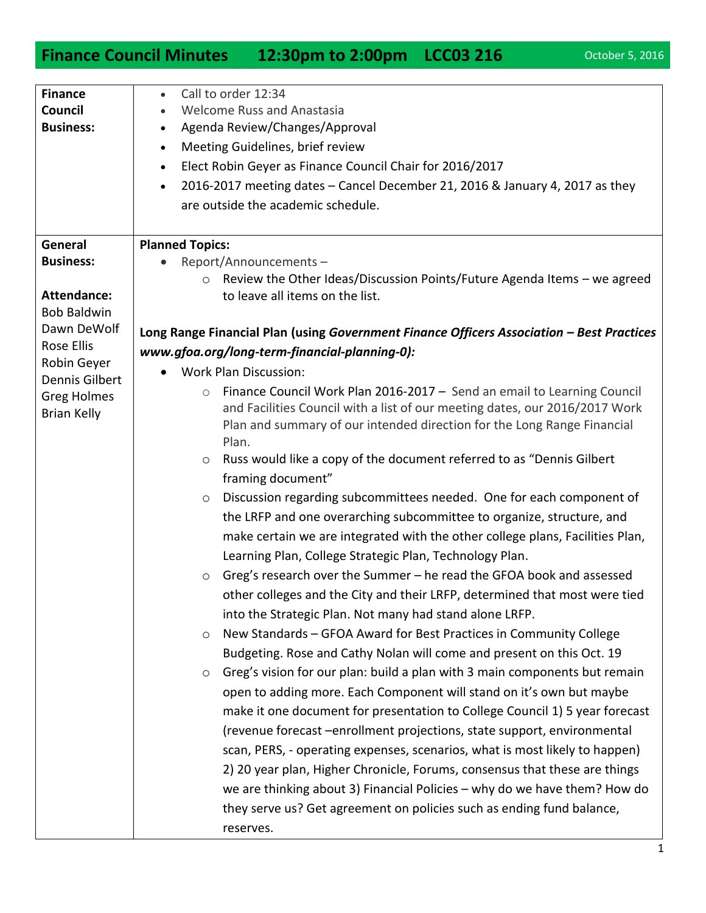## **Finance Council Minutes 12:30pm to 2:00pm LCC03 216** October 5, 2016

| <b>Finance</b>                | Call to order 12:34<br>$\bullet$                                                          |
|-------------------------------|-------------------------------------------------------------------------------------------|
| Council                       | <b>Welcome Russ and Anastasia</b>                                                         |
| <b>Business:</b>              | Agenda Review/Changes/Approval<br>$\bullet$                                               |
|                               | Meeting Guidelines, brief review<br>$\bullet$                                             |
|                               | Elect Robin Geyer as Finance Council Chair for 2016/2017<br>$\bullet$                     |
|                               | 2016-2017 meeting dates - Cancel December 21, 2016 & January 4, 2017 as they<br>$\bullet$ |
|                               | are outside the academic schedule.                                                        |
|                               |                                                                                           |
| General                       | <b>Planned Topics:</b>                                                                    |
| <b>Business:</b>              | Report/Announcements-                                                                     |
|                               | Review the Other Ideas/Discussion Points/Future Agenda Items - we agreed                  |
| <b>Attendance:</b>            | to leave all items on the list.                                                           |
| <b>Bob Baldwin</b>            |                                                                                           |
| Dawn DeWolf                   | Long Range Financial Plan (using Government Finance Officers Association - Best Practices |
| <b>Rose Ellis</b>             | www.gfoa.org/long-term-financial-planning-0):                                             |
| Robin Geyer<br>Dennis Gilbert | <b>Work Plan Discussion:</b>                                                              |
| <b>Greg Holmes</b>            | Finance Council Work Plan 2016-2017 - Send an email to Learning Council<br>$\circ$        |
| <b>Brian Kelly</b>            | and Facilities Council with a list of our meeting dates, our 2016/2017 Work               |
|                               | Plan and summary of our intended direction for the Long Range Financial                   |
|                               | Plan.                                                                                     |
|                               | Russ would like a copy of the document referred to as "Dennis Gilbert<br>O                |
|                               | framing document"                                                                         |
|                               | Discussion regarding subcommittees needed. One for each component of<br>$\circ$           |
|                               | the LRFP and one overarching subcommittee to organize, structure, and                     |
|                               | make certain we are integrated with the other college plans, Facilities Plan,             |
|                               | Learning Plan, College Strategic Plan, Technology Plan.                                   |
|                               | Greg's research over the Summer - he read the GFOA book and assessed<br>$\circ$           |
|                               | other colleges and the City and their LRFP, determined that most were tied                |
|                               | into the Strategic Plan. Not many had stand alone LRFP.                                   |
|                               | New Standards - GFOA Award for Best Practices in Community College<br>$\circ$             |
|                               | Budgeting. Rose and Cathy Nolan will come and present on this Oct. 19                     |
|                               | Greg's vision for our plan: build a plan with 3 main components but remain<br>O           |
|                               | open to adding more. Each Component will stand on it's own but maybe                      |
|                               | make it one document for presentation to College Council 1) 5 year forecast               |
|                               |                                                                                           |
|                               | (revenue forecast -enrollment projections, state support, environmental                   |
|                               | scan, PERS, - operating expenses, scenarios, what is most likely to happen)               |
|                               | 2) 20 year plan, Higher Chronicle, Forums, consensus that these are things                |
|                               | we are thinking about 3) Financial Policies - why do we have them? How do                 |
|                               | they serve us? Get agreement on policies such as ending fund balance,                     |
|                               | reserves.                                                                                 |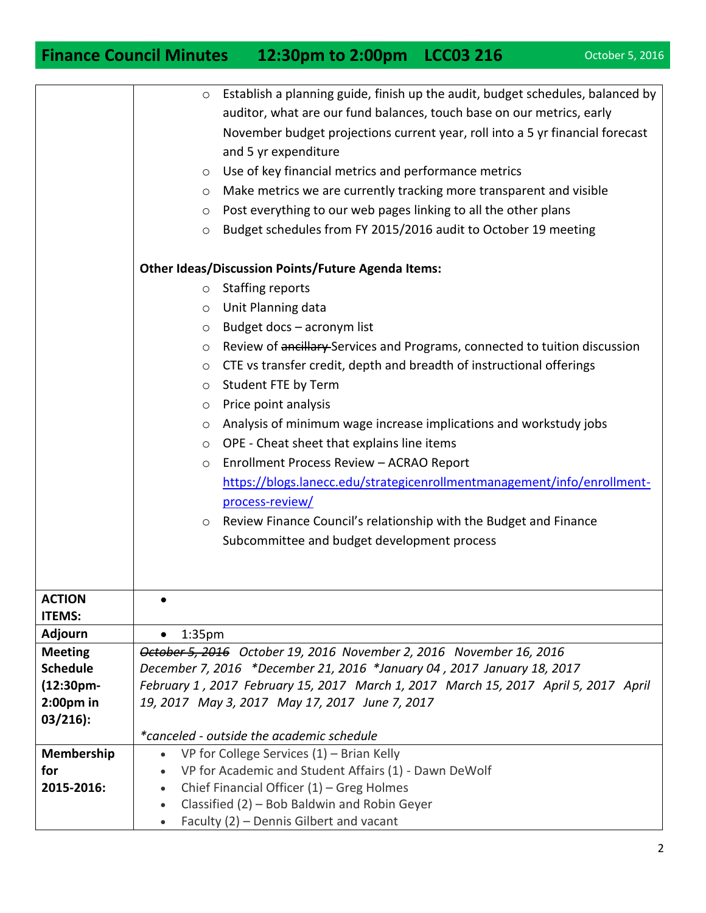## **Finance Council Minutes 12:30pm to 2:00pm LCC03 216** October 5, 2016

|                                | Establish a planning guide, finish up the audit, budget schedules, balanced by<br>$\circ$              |
|--------------------------------|--------------------------------------------------------------------------------------------------------|
|                                | auditor, what are our fund balances, touch base on our metrics, early                                  |
|                                | November budget projections current year, roll into a 5 yr financial forecast                          |
|                                | and 5 yr expenditure                                                                                   |
|                                | Use of key financial metrics and performance metrics<br>$\circ$                                        |
|                                | Make metrics we are currently tracking more transparent and visible<br>O                               |
|                                | Post everything to our web pages linking to all the other plans<br>$\circ$                             |
|                                | Budget schedules from FY 2015/2016 audit to October 19 meeting<br>$\circ$                              |
|                                | <b>Other Ideas/Discussion Points/Future Agenda Items:</b>                                              |
|                                | <b>Staffing reports</b><br>$\circ$                                                                     |
|                                | Unit Planning data<br>$\circ$                                                                          |
|                                | Budget docs - acronym list<br>$\circ$                                                                  |
|                                | Review of ancillary Services and Programs, connected to tuition discussion                             |
|                                | $\circ$<br>CTE vs transfer credit, depth and breadth of instructional offerings                        |
|                                | $\circ$                                                                                                |
|                                | Student FTE by Term<br>$\circ$                                                                         |
|                                | Price point analysis<br>$\circ$                                                                        |
|                                | Analysis of minimum wage increase implications and workstudy jobs<br>$\circ$                           |
|                                | OPE - Cheat sheet that explains line items<br>$\circ$                                                  |
|                                | Enrollment Process Review - ACRAO Report<br>$\circ$                                                    |
|                                | https://blogs.lanecc.edu/strategicenrollmentmanagement/info/enrollment-                                |
|                                | process-review/                                                                                        |
|                                | Review Finance Council's relationship with the Budget and Finance<br>$\circ$                           |
|                                | Subcommittee and budget development process                                                            |
|                                |                                                                                                        |
|                                |                                                                                                        |
| <b>ACTION</b><br><b>ITEMS:</b> |                                                                                                        |
| <b>Adjourn</b>                 | 1:35 <sub>pm</sub><br>$\bullet$                                                                        |
| <b>Meeting</b>                 | October 5, 2016 October 19, 2016 November 2, 2016 November 16, 2016                                    |
| <b>Schedule</b>                | December 7, 2016 *December 21, 2016 *January 04, 2017 January 18, 2017                                 |
| (12:30pm-                      | February 1, 2017 February 15, 2017 March 1, 2017 March 15, 2017 April 5, 2017 April                    |
| 2:00 <sub>pm</sub> in          | 19, 2017 May 3, 2017 May 17, 2017 June 7, 2017                                                         |
| $03/216$ :                     |                                                                                                        |
|                                | *canceled - outside the academic schedule                                                              |
| Membership                     | VP for College Services $(1)$ – Brian Kelly<br>$\bullet$                                               |
| for                            | VP for Academic and Student Affairs (1) - Dawn DeWolf                                                  |
| 2015-2016:                     | Chief Financial Officer (1) - Greg Holmes<br>$\bullet$<br>Classified (2) - Bob Baldwin and Robin Geyer |
|                                | $\bullet$<br>Faculty (2) - Dennis Gilbert and vacant<br>$\bullet$                                      |
|                                |                                                                                                        |